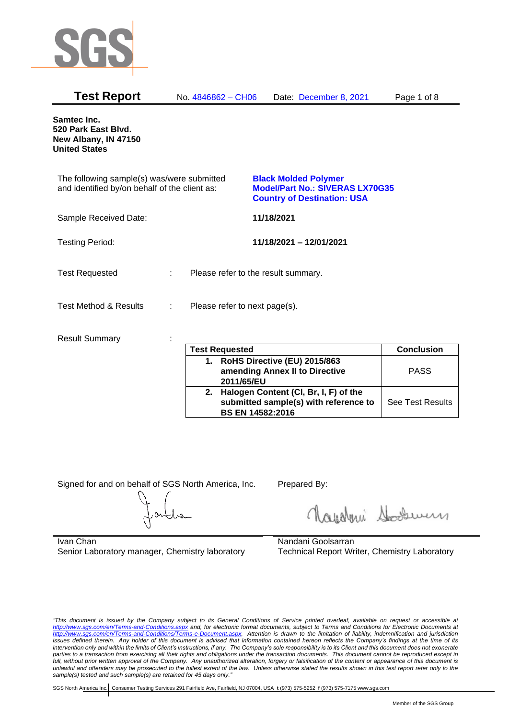

| <b>Test Report</b>                                                                          | No. 4846862 - CH06                 | Date: December 8, 2021                                                                                      | Page 1 of 8 |
|---------------------------------------------------------------------------------------------|------------------------------------|-------------------------------------------------------------------------------------------------------------|-------------|
| Samtec Inc.<br>520 Park East Blvd.<br>New Albany, IN 47150<br><b>United States</b>          |                                    |                                                                                                             |             |
| The following sample(s) was/were submitted<br>and identified by/on behalf of the client as: |                                    | <b>Black Molded Polymer</b><br><b>Model/Part No.: SIVERAS LX70G35</b><br><b>Country of Destination: USA</b> |             |
| Sample Received Date:                                                                       |                                    | 11/18/2021                                                                                                  |             |
| <b>Testing Period:</b>                                                                      |                                    | 11/18/2021 - 12/01/2021                                                                                     |             |
| <b>Test Requested</b>                                                                       | ÷.                                 | Please refer to the result summary.                                                                         |             |
| <b>Test Method &amp; Results</b>                                                            | Please refer to next page(s).<br>÷ |                                                                                                             |             |
| <b>Result Summary</b>                                                                       |                                    |                                                                                                             |             |

| <b>Test Requested</b>                                                                                        | <b>Conclusion</b>       |
|--------------------------------------------------------------------------------------------------------------|-------------------------|
| 1. RoHS Directive (EU) 2015/863<br>amending Annex II to Directive<br>2011/65/EU                              | <b>PASS</b>             |
| 2. Halogen Content (CI, Br, I, F) of the<br>submitted sample(s) with reference to<br><b>BS EN 14582:2016</b> | <b>See Test Results</b> |

Signed for and on behalf of SGS North America, Inc. Prepared By:

Royalmi Souri

Ivan Chan Senior Laboratory manager, Chemistry laboratory

Nandani Goolsarran Technical Report Writer, Chemistry Laboratory

*"This document is issued by the Company subject to its General Conditions of Service printed overleaf, available on request or accessible at <http://www.sgs.com/en/Terms-and-Conditions.aspx> and, for electronic format documents, subject to Terms and Conditions for Electronic Documents at [http://www.sgs.com/en/Terms-and-Conditions/Terms-e-Document.aspx.](http://www.sgs.com/en/Terms-and-Conditions/Terms-e-Document.aspx) Attention is drawn to the limitation of liability, indemnification and jurisdiction issues defined therein. Any holder of this document is advised that information contained hereon reflects the Company's findings at the time of its intervention only and within the limits of Client's instructions, if any. The Company's sole responsibility is to its Client and this document does not exonerate parties to a transaction from exercising all their rights and obligations under the transaction documents. This document cannot be reproduced except in full, without prior written approval of the Company. Any unauthorized alteration, forgery or falsification of the content or appearance of this document is unlawful and offenders may be prosecuted to the fullest extent of the law. Unless otherwise stated the results shown in this test report refer only to the sample(s) tested and such sample(s) are retained for 45 days only."*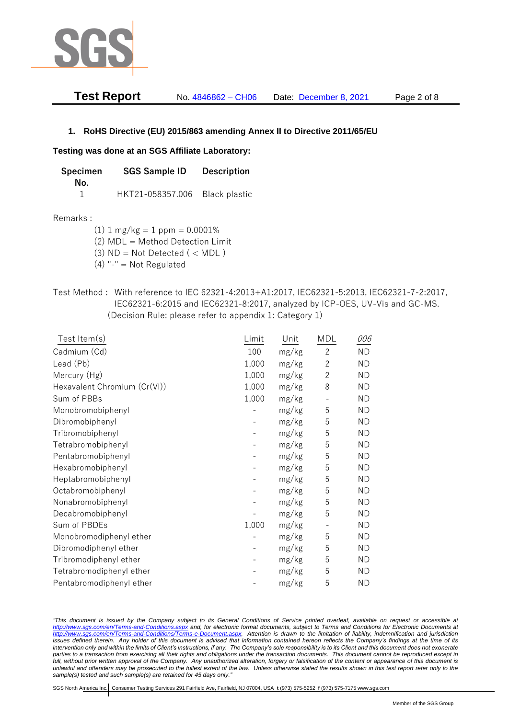

| <b>Test Report</b> | No. 4846862 – CH06 | Date: December 8, 2021 | Page 2 of 8 |
|--------------------|--------------------|------------------------|-------------|
|--------------------|--------------------|------------------------|-------------|

# **1. RoHS Directive (EU) 2015/863 amending Annex II to Directive 2011/65/EU**

## **Testing was done at an SGS Affiliate Laboratory:**

| Specimen | <b>SGS Sample ID</b>           | <b>Description</b> |  |
|----------|--------------------------------|--------------------|--|
| No.      |                                |                    |  |
|          | HKT21-058357.006 Black plastic |                    |  |

## Remarks :

(1)  $1 \text{ mg/kg} = 1 \text{ ppm} = 0.0001\%$ 

(2) MDL = Method Detection Limit

- $(3)$  ND = Not Detected  $($  < MDL)
- (4) "-" = Not Regulated
- Test Method : With reference to IEC 62321-4:2013+A1:2017, IEC62321-5:2013, IEC62321-7-2:2017, IEC62321-6:2015 and IEC62321-8:2017, analyzed by ICP-OES, UV-Vis and GC-MS. (Decision Rule: please refer to appendix 1: Category 1)

| $Test$ Item $(s)$            | Limit | Unit  | MDL            | 006       |
|------------------------------|-------|-------|----------------|-----------|
| Cadmium (Cd)                 | 100   | mg/kg | $\mathbf{2}$   | <b>ND</b> |
| Lead (Pb)                    | 1,000 | mg/kg | $\overline{2}$ | <b>ND</b> |
| Mercury (Hg)                 | 1,000 | mg/kg | $\overline{2}$ | <b>ND</b> |
| Hexavalent Chromium (Cr(VI)) | 1,000 | mg/kg | 8              | <b>ND</b> |
| Sum of PBBs                  | 1,000 | mg/kg |                | <b>ND</b> |
| Monobromobiphenyl            |       | mg/kg | 5              | <b>ND</b> |
| Dibromobiphenyl              |       | mg/kg | 5              | <b>ND</b> |
| Tribromobiphenyl             |       | mg/kg | 5              | <b>ND</b> |
| Tetrabromobiphenyl           |       | mg/kg | 5              | <b>ND</b> |
| Pentabromobiphenyl           |       | mg/kg | 5              | ND        |
| Hexabromobiphenyl            |       | mg/kg | 5              | <b>ND</b> |
| Heptabromobiphenyl           |       | mg/kg | 5              | <b>ND</b> |
| Octabromobiphenyl            |       | mg/kg | 5              | <b>ND</b> |
| Nonabromobiphenyl            |       | mg/kg | 5              | <b>ND</b> |
| Decabromobiphenyl            |       | mg/kg | 5              | <b>ND</b> |
| Sum of PBDEs                 | 1,000 | mg/kg |                | <b>ND</b> |
| Monobromodiphenyl ether      |       | mg/kg | 5              | <b>ND</b> |
| Dibromodiphenyl ether        |       | mg/kg | 5              | <b>ND</b> |
| Tribromodiphenyl ether       |       | mg/kg | 5              | <b>ND</b> |
| Tetrabromodiphenyl ether     |       | mg/kg | 5              | <b>ND</b> |
| Pentabromodiphenyl ether     |       | mg/kg | 5              | ΝD        |

*"This document is issued by the Company subject to its General Conditions of Service printed overleaf, available on request or accessible at <http://www.sgs.com/en/Terms-and-Conditions.aspx> and, for electronic format documents, subject to Terms and Conditions for Electronic Documents at [http://www.sgs.com/en/Terms-and-Conditions/Terms-e-Document.aspx.](http://www.sgs.com/en/Terms-and-Conditions/Terms-e-Document.aspx) Attention is drawn to the limitation of liability, indemnification and jurisdiction issues defined therein. Any holder of this document is advised that information contained hereon reflects the Company's findings at the time of its intervention only and within the limits of Client's instructions, if any. The Company's sole responsibility is to its Client and this document does not exonerate parties to a transaction from exercising all their rights and obligations under the transaction documents. This document cannot be reproduced except in full, without prior written approval of the Company. Any unauthorized alteration, forgery or falsification of the content or appearance of this document is unlawful and offenders may be prosecuted to the fullest extent of the law. Unless otherwise stated the results shown in this test report refer only to the sample(s) tested and such sample(s) are retained for 45 days only."*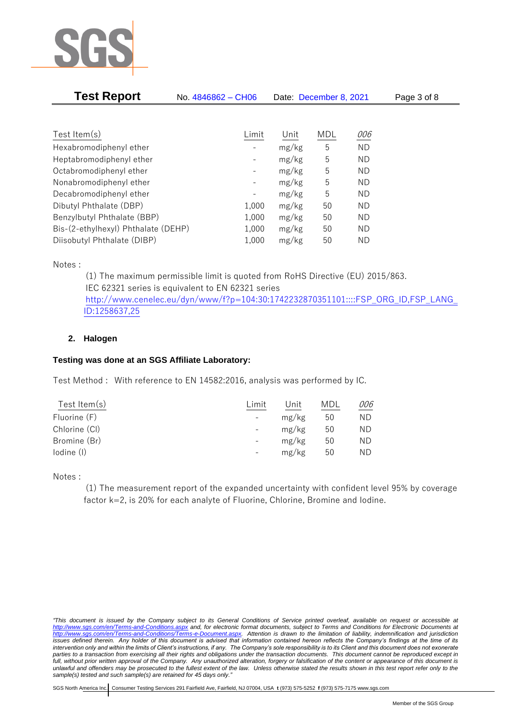

| <b>Test Report</b>                  | No. 4846862 - CH06       | Date: December 8, 2021 |     |           | Page 3 of 8 |  |
|-------------------------------------|--------------------------|------------------------|-----|-----------|-------------|--|
|                                     |                          |                        |     |           |             |  |
| Test Item $(s)$                     | Limit                    | Unit                   | MDL | 006       |             |  |
| Hexabromodiphenyl ether             |                          | mg/kg                  | 5   | <b>ND</b> |             |  |
| Heptabromodiphenyl ether            | -                        | mg/kg                  | 5   | ΝD        |             |  |
| Octabromodiphenyl ether             | $\overline{\phantom{a}}$ | mg/kg                  | 5   | ND        |             |  |
| Nonabromodiphenyl ether             | $\overline{\phantom{a}}$ | mg/kg                  | 5   | <b>ND</b> |             |  |
| Decabromodiphenyl ether             |                          | mg/kg                  | 5   | ND        |             |  |
| Dibutyl Phthalate (DBP)             | 1,000                    | mg/kg                  | 50  | ΝD        |             |  |
| Benzylbutyl Phthalate (BBP)         | 1,000                    | mg/kg                  | 50  | ND        |             |  |
| Bis-(2-ethylhexyl) Phthalate (DEHP) | 1,000                    | mg/kg                  | 50  | ND        |             |  |
| Diisobutyl Phthalate (DIBP)         | 1,000                    | mg/kg                  | 50  | ΝD        |             |  |

Notes :

(1) The maximum permissible limit is quoted from RoHS Directive (EU) 2015/863. IEC 62321 series is equivalent to EN 62321 series [http://www.cenelec.eu/dyn/www/f?p=104:30:1742232870351101::::FSP\\_ORG\\_ID,FSP\\_LANG\\_](http://www.cenelec.eu/dyn/www/f?p=104:30:1742232870351101::::FSP_ORG_ID,FSP_LANG_ID:1258637,25) [ID:1258637,25](http://www.cenelec.eu/dyn/www/f?p=104:30:1742232870351101::::FSP_ORG_ID,FSP_LANG_ID:1258637,25)

# **2. Halogen**

# **Testing was done at an SGS Affiliate Laboratory:**

Test Method : With reference to EN 14582:2016, analysis was performed by IC.

| Test Item $(s)$ | Limit                    | Unit  | MDL | 006 |
|-----------------|--------------------------|-------|-----|-----|
| Fluorine (F)    | $\overline{\phantom{0}}$ | mg/kg | 50  | ΝD  |
| Chlorine (CI)   | $\overline{\phantom{0}}$ | mg/kg | 50  | ND. |
| Bromine (Br)    | $\qquad \qquad -$        | mg/kg | 50  | ND. |
| lodine (I)      | -                        | mg/kg | 50  | ΝD  |
|                 |                          |       |     |     |

Notes :

(1) The measurement report of the expanded uncertainty with confident level 95% by coverage factor k=2, is 20% for each analyte of Fluorine, Chlorine, Bromine and Iodine.

*<sup>&</sup>quot;This document is issued by the Company subject to its General Conditions of Service printed overleaf, available on request or accessible at <http://www.sgs.com/en/Terms-and-Conditions.aspx> and, for electronic format documents, subject to Terms and Conditions for Electronic Documents at [http://www.sgs.com/en/Terms-and-Conditions/Terms-e-Document.aspx.](http://www.sgs.com/en/Terms-and-Conditions/Terms-e-Document.aspx) Attention is drawn to the limitation of liability, indemnification and jurisdiction issues defined therein. Any holder of this document is advised that information contained hereon reflects the Company's findings at the time of its intervention only and within the limits of Client's instructions, if any. The Company's sole responsibility is to its Client and this document does not exonerate parties to a transaction from exercising all their rights and obligations under the transaction documents. This document cannot be reproduced except in full, without prior written approval of the Company. Any unauthorized alteration, forgery or falsification of the content or appearance of this document is unlawful and offenders may be prosecuted to the fullest extent of the law. Unless otherwise stated the results shown in this test report refer only to the sample(s) tested and such sample(s) are retained for 45 days only."*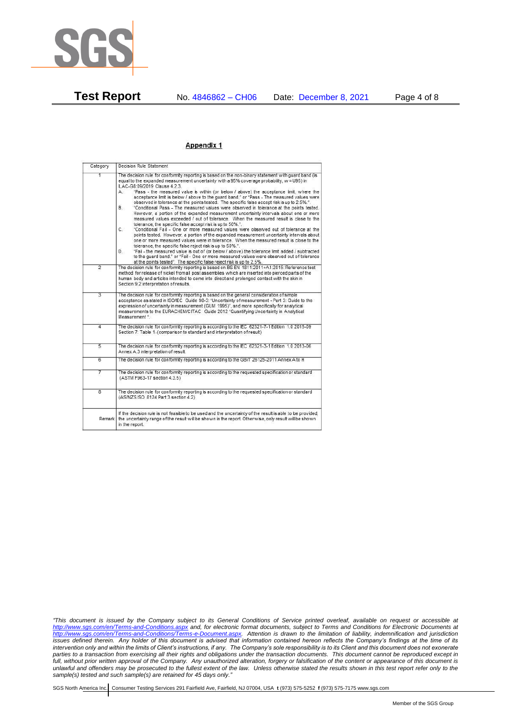

### Appendix 1

| Category                | Decision Rule Statement                                                                                                                                                                                                                                                                                                                                                                                                                                                                                                                                                                                                                                                                                                                                                                                                                                                                                                                                                                                                                                                                                                                                                                                                                                                                                                                                                                                                                                                                                                  |
|-------------------------|--------------------------------------------------------------------------------------------------------------------------------------------------------------------------------------------------------------------------------------------------------------------------------------------------------------------------------------------------------------------------------------------------------------------------------------------------------------------------------------------------------------------------------------------------------------------------------------------------------------------------------------------------------------------------------------------------------------------------------------------------------------------------------------------------------------------------------------------------------------------------------------------------------------------------------------------------------------------------------------------------------------------------------------------------------------------------------------------------------------------------------------------------------------------------------------------------------------------------------------------------------------------------------------------------------------------------------------------------------------------------------------------------------------------------------------------------------------------------------------------------------------------------|
| 1                       | The decision rule for conformity reporting is based on the non-binary statement with quard band (is<br>equal to the expanded measurement uncertainty with a 95% coverage probability, w = U95) in<br>ILAC-G8:09/2019 Clause 4.2.3.<br>"Pass - the measured value is within (or below / above) the acceptance limit, where the<br>A.<br>acceptance limit is below / above to the quard band." or "Pass - The measured values were<br>observed in tolerance at the points tested. The specific false accept risk is up to 2.5%.".<br><b>B</b><br>"Conditional Pass - The measured values were observed in tolerance at the points tested.<br>However, a portion of the expanded measurement uncertainty intervals about one or more<br>measured values exceeded / out of tolerance. When the measured result is close to the<br>tolerance, the specific false accept risk is up to 50%.".<br>C.<br>"Conditional Fail - One or more measured values were observed out of tolerance at the<br>points tested. However, a portion of the expanded measurement uncertainty intervals about<br>one or more measured values were in tolerance. When the measured result is close to the<br>tolerance, the specific false reject risk is up to 50%.".<br>"Fail - the measured value is out of (or below / above) the tolerance limit added / subtracted<br>D.<br>to the quard band." or "Fail - One or more measured values were observed out of tolerance<br>at the points tested". The specific false reject risk is up to 2.5%. |
| $\overline{2}$          | The decision rule for conformity reporting is based on BS EN 1811:2011+A1:2015: Reference test<br>method for release of nickel from all post assemblies which are inserted into pierced parts of the<br>human body and articles intended to come into direct and prolonged contact with the skin in<br>Section 9.2 interpretation of results.                                                                                                                                                                                                                                                                                                                                                                                                                                                                                                                                                                                                                                                                                                                                                                                                                                                                                                                                                                                                                                                                                                                                                                            |
| $\overline{3}$          | The decision rule for conformity reporting is based on the general consideration of simple<br>acceptance as stated in ISO/IEC Guide 98-3: "Uncertainty of measurement - Part 3: Guide to the<br>expression of uncertainty in measurement (GUM 1995)", and more specifically for analytical<br>measurements to the EURACHEM/CITAC Guide 2012 "Quantifying Uncertainty in Analytical<br>Measurement "                                                                                                                                                                                                                                                                                                                                                                                                                                                                                                                                                                                                                                                                                                                                                                                                                                                                                                                                                                                                                                                                                                                      |
| 4                       | The decision rule for conformity reporting is according to the IEC 62321-7-1 Edition 1.0 2015-09<br>Section 7: Table 1-(comparison to standard and interpretation of result)                                                                                                                                                                                                                                                                                                                                                                                                                                                                                                                                                                                                                                                                                                                                                                                                                                                                                                                                                                                                                                                                                                                                                                                                                                                                                                                                             |
| $\overline{5}$          | The decision rule for conformity reporting is according to the IEC 62321-3-1 Edition 1.0 2013-06<br>Annex A.3 interpretation of result.                                                                                                                                                                                                                                                                                                                                                                                                                                                                                                                                                                                                                                                                                                                                                                                                                                                                                                                                                                                                                                                                                                                                                                                                                                                                                                                                                                                  |
| 6                       | The decision rule for conformity reporting is according to the GB/T 26125-2011 Annex A to H                                                                                                                                                                                                                                                                                                                                                                                                                                                                                                                                                                                                                                                                                                                                                                                                                                                                                                                                                                                                                                                                                                                                                                                                                                                                                                                                                                                                                              |
| 7                       | The decision rule for conformity reporting is according to the requested specification or standard<br>(ASTM F963-17 section 4.3.5)                                                                                                                                                                                                                                                                                                                                                                                                                                                                                                                                                                                                                                                                                                                                                                                                                                                                                                                                                                                                                                                                                                                                                                                                                                                                                                                                                                                       |
| $\overline{\mathbf{8}}$ | The decision rule for conformity reporting is according to the requested specification or standard<br>(AS/NZS ISO 8124 Part 3 section 4.2)                                                                                                                                                                                                                                                                                                                                                                                                                                                                                                                                                                                                                                                                                                                                                                                                                                                                                                                                                                                                                                                                                                                                                                                                                                                                                                                                                                               |
| Remark                  | If the decision rule is not feasible to be used and the uncertainty of the result is able to be provided.<br>the uncertainty range of the result will be shown in the report. Otherwise, only result will be shown<br>in the report.                                                                                                                                                                                                                                                                                                                                                                                                                                                                                                                                                                                                                                                                                                                                                                                                                                                                                                                                                                                                                                                                                                                                                                                                                                                                                     |

*"This document is issued by the Company subject to its General Conditions of Service printed overleaf, available on request or accessible at <http://www.sgs.com/en/Terms-and-Conditions.aspx> and, for electronic format documents, subject to Terms and Conditions for Electronic Documents at [http://www.sgs.com/en/Terms-and-Conditions/Terms-e-Document.aspx.](http://www.sgs.com/en/Terms-and-Conditions/Terms-e-Document.aspx) Attention is drawn to the limitation of liability, indemnification and jurisdiction issues defined therein. Any holder of this document is advised that information contained hereon reflects the Company's findings at the time of its intervention only and within the limits of Client's instructions, if any. The Company's sole responsibility is to its Client and this document does not exonerate parties to a transaction from exercising all their rights and obligations under the transaction documents. This document cannot be reproduced except in full, without prior written approval of the Company. Any unauthorized alteration, forgery or falsification of the content or appearance of this document is unlawful and offenders may be prosecuted to the fullest extent of the law. Unless otherwise stated the results shown in this test report refer only to the sample(s) tested and such sample(s) are retained for 45 days only."*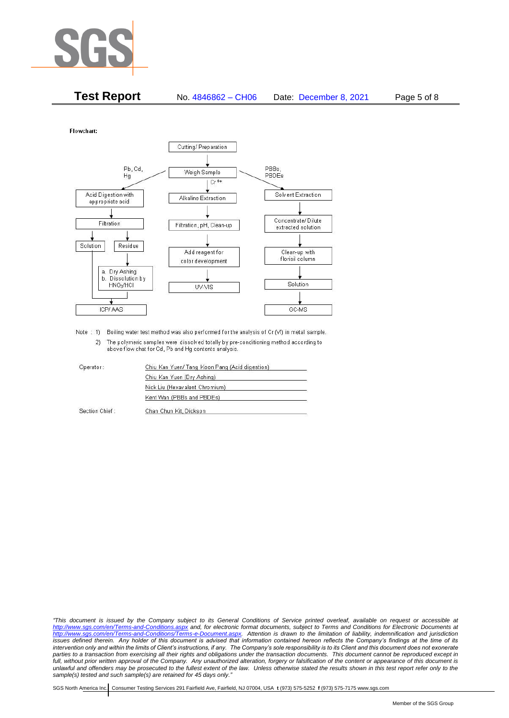

| <b>Test Report</b> | No. 4846862 - CH06 | Date: December 8, 2021 | Page 5 of 8 |
|--------------------|--------------------|------------------------|-------------|
|--------------------|--------------------|------------------------|-------------|

Flowchart:



Note : 1) Boiling water test method was also performed for the analysis of Cr (VI) in metal sample. 2) The polymeric samples were dissolved totally by pre-conditioning method according to above flow chat for Cd, Pb and Hg contents analysis

| Operator:      | Chiu Kan Yuen/ Tang Koon Pang (Acid digestion) |  |
|----------------|------------------------------------------------|--|
|                | Chiu Kan Yuen (Dry Ashing)                     |  |
|                | Nick Liu (Hexavalent Chromium)                 |  |
|                | Kent Wan (PBBs and PBDEs)                      |  |
| Section Chief: | Chan Chun Kit, Dickson                         |  |

*"This document is issued by the Company subject to its General Conditions of Service printed overleaf, available on request or accessible at <http://www.sgs.com/en/Terms-and-Conditions.aspx> and, for electronic format documents, subject to Terms and Conditions for Electronic Documents at [http://www.sgs.com/en/Terms-and-Conditions/Terms-e-Document.aspx.](http://www.sgs.com/en/Terms-and-Conditions/Terms-e-Document.aspx) Attention is drawn to the limitation of liability, indemnification and jurisdiction issues defined therein. Any holder of this document is advised that information contained hereon reflects the Company's findings at the time of its intervention only and within the limits of Client's instructions, if any. The Company's sole responsibility is to its Client and this document does not exonerate*  parties to a transaction from exercising all their rights and obligations under the transaction documents. This document cannot be reproduced except in *full, without prior written approval of the Company. Any unauthorized alteration, forgery or falsification of the content or appearance of this document is unlawful and offenders may be prosecuted to the fullest extent of the law. Unless otherwise stated the results shown in this test report refer only to the sample(s) tested and such sample(s) are retained for 45 days only."*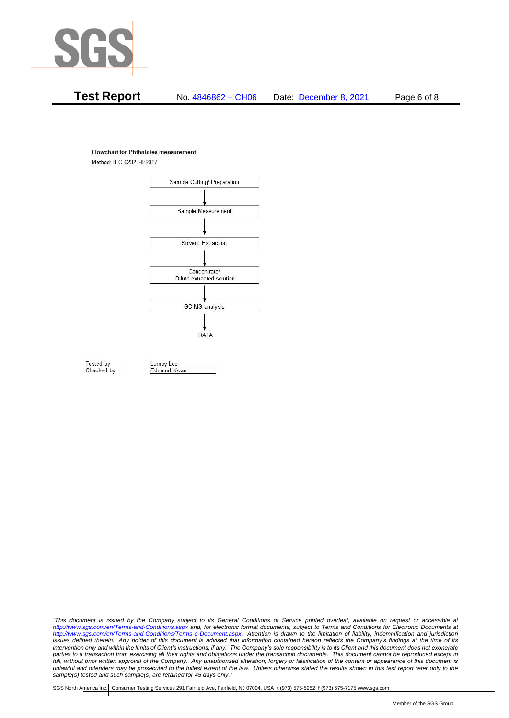

# **Test Report** No. 4846862 – CH06 Date: December 8, 2021 Page 6 of 8

#### **Flowchart for Phthalates measurement**

Method: IEC 62321-8:2017



Tested by Checked by Lumpy Lee Edmund Kwan

*"This document is issued by the Company subject to its General Conditions of Service printed overleaf, available on request or accessible at <http://www.sgs.com/en/Terms-and-Conditions.aspx> and, for electronic format documents, subject to Terms and Conditions for Electronic Documents at [http://www.sgs.com/en/Terms-and-Conditions/Terms-e-Document.aspx.](http://www.sgs.com/en/Terms-and-Conditions/Terms-e-Document.aspx) Attention is drawn to the limitation of liability, indemnification and jurisdiction issues defined therein. Any holder of this document is advised that information contained hereon reflects the Company's findings at the time of its intervention only and within the limits of Client's instructions, if any. The Company's sole responsibility is to its Client and this document does not exonerate*  parties to a transaction from exercising all their rights and obligations under the transaction documents. This document cannot be reproduced except in *full, without prior written approval of the Company. Any unauthorized alteration, forgery or falsification of the content or appearance of this document is unlawful and offenders may be prosecuted to the fullest extent of the law. Unless otherwise stated the results shown in this test report refer only to the sample(s) tested and such sample(s) are retained for 45 days only."*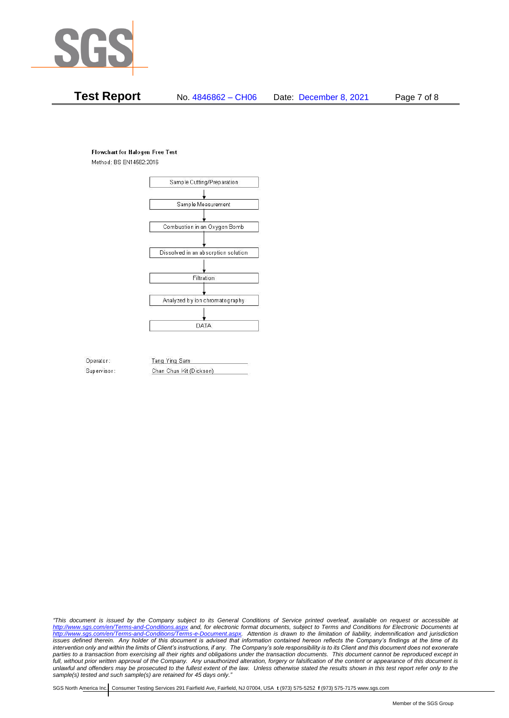

# **Test Report** No. 4846862 – CH06 Date: December 8, 2021 Page 7 of 8

## **Flowchart for Halogen Free Test**

Method: BS EN14582:2016



Operator: Supervisor: Tang Ying Sam Chan Chun Kit (Dickson)

*"This document is issued by the Company subject to its General Conditions of Service printed overleaf, available on request or accessible at <http://www.sgs.com/en/Terms-and-Conditions.aspx> and, for electronic format documents, subject to Terms and Conditions for Electronic Documents at [http://www.sgs.com/en/Terms-and-Conditions/Terms-e-Document.aspx.](http://www.sgs.com/en/Terms-and-Conditions/Terms-e-Document.aspx) Attention is drawn to the limitation of liability, indemnification and jurisdiction issues defined therein. Any holder of this document is advised that information contained hereon reflects the Company's findings at the time of its intervention only and within the limits of Client's instructions, if any. The Company's sole responsibility is to its Client and this document does not exonerate*  parties to a transaction from exercising all their rights and obligations under the transaction documents. This document cannot be reproduced except in *full, without prior written approval of the Company. Any unauthorized alteration, forgery or falsification of the content or appearance of this document is unlawful and offenders may be prosecuted to the fullest extent of the law. Unless otherwise stated the results shown in this test report refer only to the sample(s) tested and such sample(s) are retained for 45 days only."*